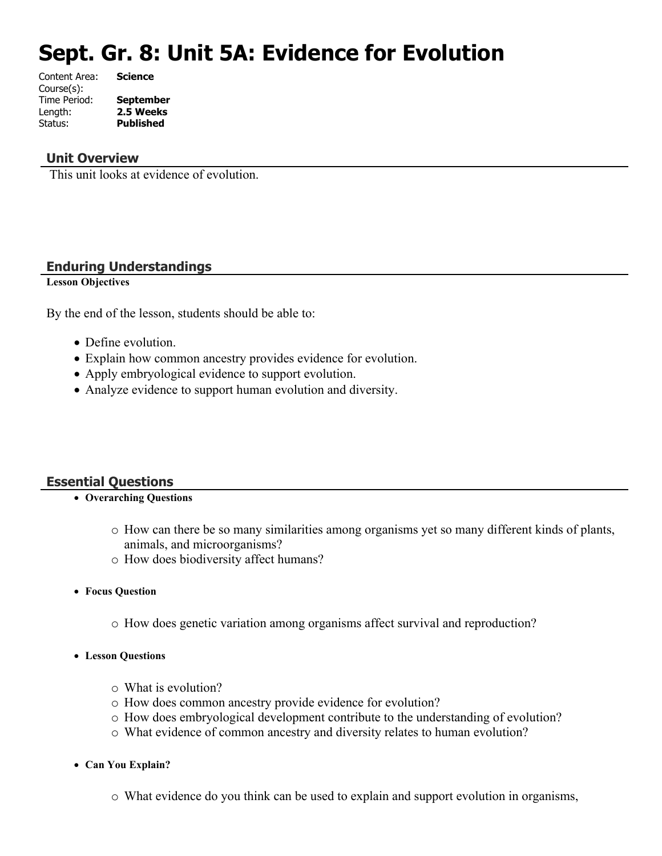# **Sept. Gr. 8: Unit 5A: Evidence for Evolution**

| Content Area: | <b>Science</b>   |
|---------------|------------------|
| Course(s):    |                  |
| Time Period:  | <b>September</b> |
| Length:       | 2.5 Weeks        |
| Status:       | <b>Published</b> |
|               |                  |

#### **Unit Overview**

This unit looks at evidence of evolution.

#### **Enduring Understandings**

**Lesson Objectives**

By the end of the lesson, students should be able to:

- Define evolution.
- Explain how common ancestry provides evidence for evolution.
- Apply embryological evidence to support evolution.
- Analyze evidence to support human evolution and diversity.

#### **Essential Questions**

- **Overarching Questions**
	- o How can there be so many similarities among organisms yet so many different kinds of plants, animals, and microorganisms?
	- o How does biodiversity affect humans?
- **Focus Question**
	- o How does genetic variation among organisms affect survival and reproduction?
- **Lesson Questions**
	- o What is evolution?
	- o How does common ancestry provide evidence for evolution?
	- o How does embryological development contribute to the understanding of evolution?
	- o What evidence of common ancestry and diversity relates to human evolution?
- **Can You Explain?**
	- o What evidence do you think can be used to explain and support evolution in organisms,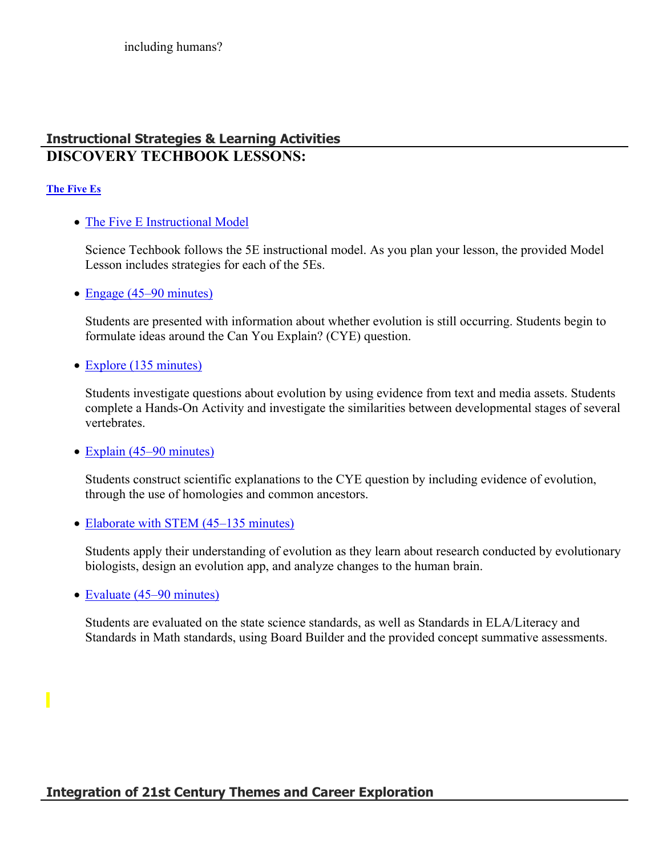# **Instructional Strategies & Learning Activities DISCOVERY TECHBOOK LESSONS:**

#### **[The Five Es](https://app.discoveryeducation.com/learn/techbook/units/3afa2867-5c93-4836-9521-47ead2ed95b1/concepts/76f23edc-2888-4dac-99e6-1e43c6d951bc/lesson/sections/4c1abc1c-59d4-4ad5-be3b-0a98ba1ba42c)**

• [The Five E Instructional Model](https://app.discoveryeducation.com/learn/techbook/units/3afa2867-5c93-4836-9521-47ead2ed95b1/concepts/76f23edc-2888-4dac-99e6-1e43c6d951bc/lesson/sections/4c1abc1c-59d4-4ad5-be3b-0a98ba1ba42c#9eb03dfb-11aa-48ae-b42e-578831a93ed9)

Science Techbook follows the 5E instructional model. As you plan your lesson, the provided Model Lesson includes strategies for each of the 5Es.

• [Engage \(45–90 minutes\)](https://app.discoveryeducation.com/learn/techbook/units/3afa2867-5c93-4836-9521-47ead2ed95b1/concepts/76f23edc-2888-4dac-99e6-1e43c6d951bc/lesson/sections/4c1abc1c-59d4-4ad5-be3b-0a98ba1ba42c#197a35db-5e15-49f2-ae91-6590193560d9)

Students are presented with information about whether evolution is still occurring. Students begin to formulate ideas around the Can You Explain? (CYE) question.

• [Explore \(135 minutes\)](https://app.discoveryeducation.com/learn/techbook/units/3afa2867-5c93-4836-9521-47ead2ed95b1/concepts/76f23edc-2888-4dac-99e6-1e43c6d951bc/lesson/sections/4c1abc1c-59d4-4ad5-be3b-0a98ba1ba42c#65ab49ac-f4ad-4db1-94d5-613966f45463)

Students investigate questions about evolution by using evidence from text and media assets. Students complete a Hands-On Activity and investigate the similarities between developmental stages of several vertebrates.

• [Explain \(45–90 minutes\)](https://app.discoveryeducation.com/learn/techbook/units/3afa2867-5c93-4836-9521-47ead2ed95b1/concepts/76f23edc-2888-4dac-99e6-1e43c6d951bc/lesson/sections/4c1abc1c-59d4-4ad5-be3b-0a98ba1ba42c#4eff0a0d-1d45-451f-91ef-29ec7a43777f)

Students construct scientific explanations to the CYE question by including evidence of evolution, through the use of homologies and common ancestors.

• [Elaborate with STEM \(45–135 minutes\)](https://app.discoveryeducation.com/learn/techbook/units/3afa2867-5c93-4836-9521-47ead2ed95b1/concepts/76f23edc-2888-4dac-99e6-1e43c6d951bc/lesson/sections/4c1abc1c-59d4-4ad5-be3b-0a98ba1ba42c#e73399fe-7204-48b7-9af4-b4b52605a740)

Students apply their understanding of evolution as they learn about research conducted by evolutionary biologists, design an evolution app, and analyze changes to the human brain.

• [Evaluate \(45–90 minutes\)](https://app.discoveryeducation.com/learn/techbook/units/3afa2867-5c93-4836-9521-47ead2ed95b1/concepts/76f23edc-2888-4dac-99e6-1e43c6d951bc/lesson/sections/4c1abc1c-59d4-4ad5-be3b-0a98ba1ba42c#c4a2042e-c0b2-46bc-9ae4-a2810edb868f)

Students are evaluated on the state science standards, as well as Standards in ELA/Literacy and Standards in Math standards, using Board Builder and the provided concept summative assessments.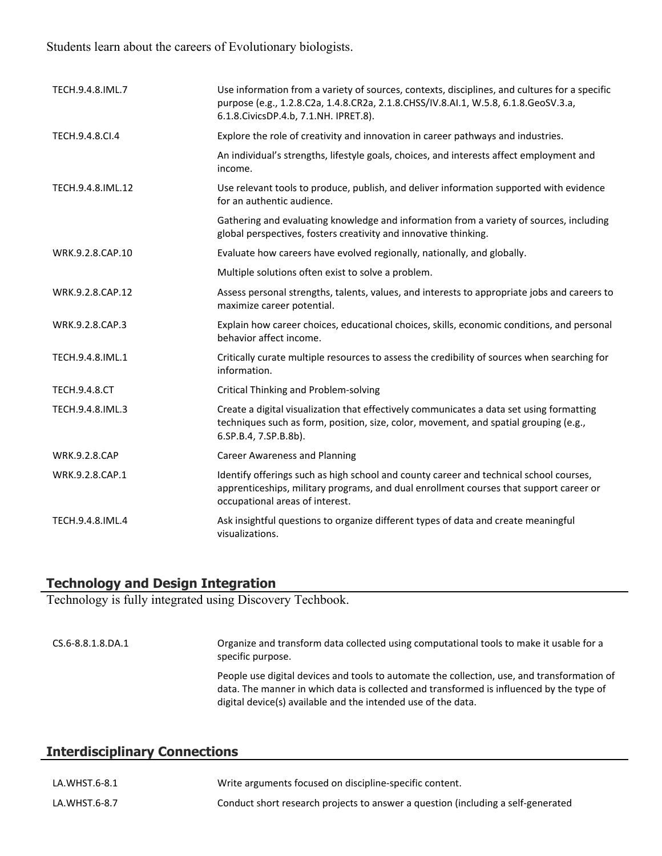# Students learn about the careers of Evolutionary biologists.

| TECH.9.4.8.IML.7     | Use information from a variety of sources, contexts, disciplines, and cultures for a specific<br>purpose (e.g., 1.2.8.C2a, 1.4.8.CR2a, 2.1.8.CHSS/IV.8.AI.1, W.5.8, 6.1.8.GeoSV.3.a,<br>6.1.8. Civics DP.4.b, 7.1. NH. IPRET.8). |
|----------------------|----------------------------------------------------------------------------------------------------------------------------------------------------------------------------------------------------------------------------------|
| TECH.9.4.8.CI.4      | Explore the role of creativity and innovation in career pathways and industries.                                                                                                                                                 |
|                      | An individual's strengths, lifestyle goals, choices, and interests affect employment and<br>income.                                                                                                                              |
| TECH.9.4.8.IML.12    | Use relevant tools to produce, publish, and deliver information supported with evidence<br>for an authentic audience.                                                                                                            |
|                      | Gathering and evaluating knowledge and information from a variety of sources, including<br>global perspectives, fosters creativity and innovative thinking.                                                                      |
| WRK.9.2.8.CAP.10     | Evaluate how careers have evolved regionally, nationally, and globally.                                                                                                                                                          |
|                      | Multiple solutions often exist to solve a problem.                                                                                                                                                                               |
| WRK.9.2.8.CAP.12     | Assess personal strengths, talents, values, and interests to appropriate jobs and careers to<br>maximize career potential.                                                                                                       |
| WRK.9.2.8.CAP.3      | Explain how career choices, educational choices, skills, economic conditions, and personal<br>behavior affect income.                                                                                                            |
| TECH.9.4.8.IML.1     | Critically curate multiple resources to assess the credibility of sources when searching for<br>information.                                                                                                                     |
| <b>TECH.9.4.8.CT</b> | <b>Critical Thinking and Problem-solving</b>                                                                                                                                                                                     |
| TECH.9.4.8.IML.3     | Create a digital visualization that effectively communicates a data set using formatting<br>techniques such as form, position, size, color, movement, and spatial grouping (e.g.,<br>6.SP.B.4, 7.SP.B.8b).                       |
| <b>WRK.9.2.8.CAP</b> | <b>Career Awareness and Planning</b>                                                                                                                                                                                             |
| WRK.9.2.8.CAP.1      | Identify offerings such as high school and county career and technical school courses,<br>apprenticeships, military programs, and dual enrollment courses that support career or<br>occupational areas of interest.              |
| TECH.9.4.8.IML.4     | Ask insightful questions to organize different types of data and create meaningful<br>visualizations.                                                                                                                            |

#### **Technology and Design Integration**

Technology is fully integrated using Discovery Techbook.

| CS.6-8.8.1.8.DA.1 | Organize and transform data collected using computational tools to make it usable for a<br>specific purpose.                                                                                                                                             |
|-------------------|----------------------------------------------------------------------------------------------------------------------------------------------------------------------------------------------------------------------------------------------------------|
|                   | People use digital devices and tools to automate the collection, use, and transformation of<br>data. The manner in which data is collected and transformed is influenced by the type of<br>digital device(s) available and the intended use of the data. |

# **Interdisciplinary Connections**

| LA.WHST.6-8.1 | Write arguments focused on discipline-specific content.                          |
|---------------|----------------------------------------------------------------------------------|
| LA.WHST.6-8.7 | Conduct short research projects to answer a question (including a self-generated |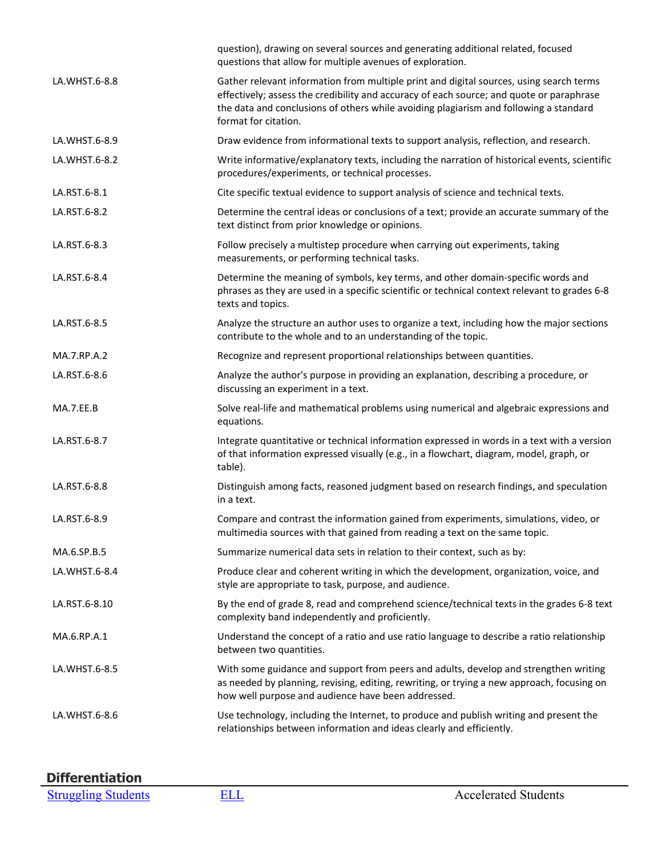|               | question), drawing on several sources and generating additional related, focused<br>questions that allow for multiple avenues of exploration.                                                                                                                                                        |
|---------------|------------------------------------------------------------------------------------------------------------------------------------------------------------------------------------------------------------------------------------------------------------------------------------------------------|
| LA.WHST.6-8.8 | Gather relevant information from multiple print and digital sources, using search terms<br>effectively; assess the credibility and accuracy of each source; and quote or paraphrase<br>the data and conclusions of others while avoiding plagiarism and following a standard<br>format for citation. |
| LA.WHST.6-8.9 | Draw evidence from informational texts to support analysis, reflection, and research.                                                                                                                                                                                                                |
| LA.WHST.6-8.2 | Write informative/explanatory texts, including the narration of historical events, scientific<br>procedures/experiments, or technical processes.                                                                                                                                                     |
| LA.RST.6-8.1  | Cite specific textual evidence to support analysis of science and technical texts.                                                                                                                                                                                                                   |
| LA.RST.6-8.2  | Determine the central ideas or conclusions of a text; provide an accurate summary of the<br>text distinct from prior knowledge or opinions.                                                                                                                                                          |
| LA.RST.6-8.3  | Follow precisely a multistep procedure when carrying out experiments, taking<br>measurements, or performing technical tasks.                                                                                                                                                                         |
| LA.RST.6-8.4  | Determine the meaning of symbols, key terms, and other domain-specific words and<br>phrases as they are used in a specific scientific or technical context relevant to grades 6-8<br>texts and topics.                                                                                               |
| LA.RST.6-8.5  | Analyze the structure an author uses to organize a text, including how the major sections<br>contribute to the whole and to an understanding of the topic.                                                                                                                                           |
| MA.7.RP.A.2   | Recognize and represent proportional relationships between quantities.                                                                                                                                                                                                                               |
| LA.RST.6-8.6  | Analyze the author's purpose in providing an explanation, describing a procedure, or<br>discussing an experiment in a text.                                                                                                                                                                          |
| MA.7.EE.B     | Solve real-life and mathematical problems using numerical and algebraic expressions and<br>equations.                                                                                                                                                                                                |
| LA.RST.6-8.7  | Integrate quantitative or technical information expressed in words in a text with a version<br>of that information expressed visually (e.g., in a flowchart, diagram, model, graph, or<br>table).                                                                                                    |
| LA.RST.6-8.8  | Distinguish among facts, reasoned judgment based on research findings, and speculation<br>in a text.                                                                                                                                                                                                 |
| LA.RST.6-8.9  | Compare and contrast the information gained from experiments, simulations, video, or<br>multimedia sources with that gained from reading a text on the same topic.                                                                                                                                   |
| MA.6.SP.B.5   | Summarize numerical data sets in relation to their context, such as by:                                                                                                                                                                                                                              |
| LA.WHST.6-8.4 | Produce clear and coherent writing in which the development, organization, voice, and<br>style are appropriate to task, purpose, and audience.                                                                                                                                                       |
| LA.RST.6-8.10 | By the end of grade 8, read and comprehend science/technical texts in the grades 6-8 text<br>complexity band independently and proficiently.                                                                                                                                                         |
| MA.6.RP.A.1   | Understand the concept of a ratio and use ratio language to describe a ratio relationship<br>between two quantities.                                                                                                                                                                                 |
| LA.WHST.6-8.5 | With some guidance and support from peers and adults, develop and strengthen writing<br>as needed by planning, revising, editing, rewriting, or trying a new approach, focusing on<br>how well purpose and audience have been addressed.                                                             |
| LA.WHST.6-8.6 | Use technology, including the Internet, to produce and publish writing and present the<br>relationships between information and ideas clearly and efficiently.                                                                                                                                       |

# **Differentiation**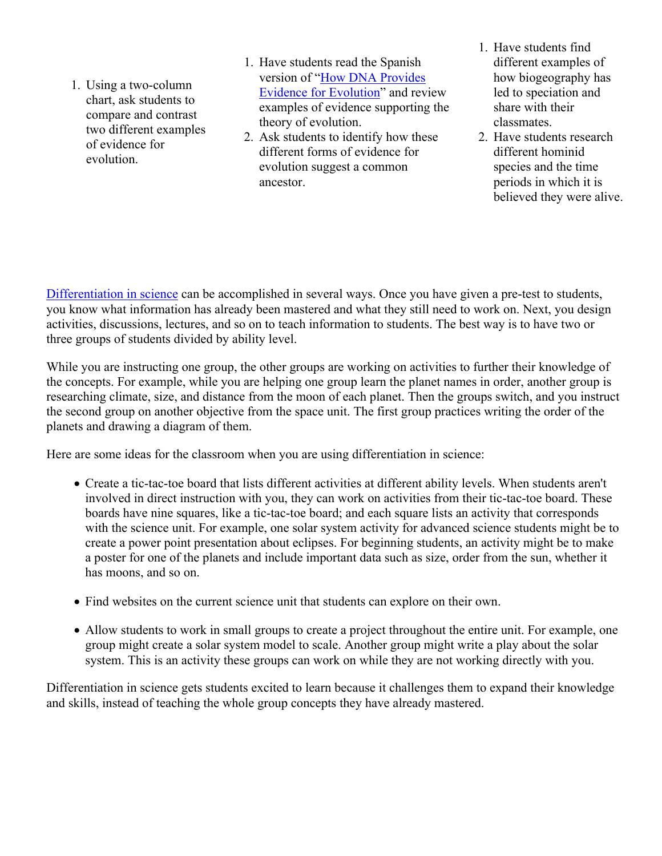- 1. Using a two-column chart, ask students to compare and contrast two different examples of evidence for evolution.
- 1. Have students read the Spanish version of ["How DNA Provides](https://app.discoveryeducation.com/player/view/assetGuid/06f053e1-ed09-4b98-b261-c2790f8a6c04)  [Evidence for Evolution"](https://app.discoveryeducation.com/player/view/assetGuid/06f053e1-ed09-4b98-b261-c2790f8a6c04) and review examples of evidence supporting the theory of evolution.
- 2. Ask students to identify how these different forms of evidence for evolution suggest a common ancestor.
- 1. Have students find different examples of how biogeography has led to speciation and share with their classmates.
- 2. Have students research different hominid species and the time periods in which it is believed they were alive.

[Differentiation in science](http://www.brighthubeducation.com/teaching-gifted-students/65181-differentiation-techniques-and-activities-in-the-classroom-for-gifted-students/) can be accomplished in several ways. Once you have given a pre-test to students, you know what information has already been mastered and what they still need to work on. Next, you design activities, discussions, lectures, and so on to teach information to students. The best way is to have two or three groups of students divided by ability level.

While you are instructing one group, the other groups are working on activities to further their knowledge of the concepts. For example, while you are helping one group learn the planet names in order, another group is researching climate, size, and distance from the moon of each planet. Then the groups switch, and you instruct the second group on another objective from the space unit. The first group practices writing the order of the planets and drawing a diagram of them.

Here are some ideas for the classroom when you are using differentiation in science:

- Create a tic-tac-toe board that lists different activities at different ability levels. When students aren't involved in direct instruction with you, they can work on activities from their tic-tac-toe board. These boards have nine squares, like a tic-tac-toe board; and each square lists an activity that corresponds with the science unit. For example, one solar system activity for advanced science students might be to create a power point presentation about eclipses. For beginning students, an activity might be to make a poster for one of the planets and include important data such as size, order from the sun, whether it has moons, and so on.
- Find websites on the current science unit that students can explore on their own.
- Allow students to work in small groups to create a project throughout the entire unit. For example, one group might create a solar system model to scale. Another group might write a play about the solar system. This is an activity these groups can work on while they are not working directly with you.

Differentiation in science gets students excited to learn because it challenges them to expand their knowledge and skills, instead of teaching the whole group concepts they have already mastered.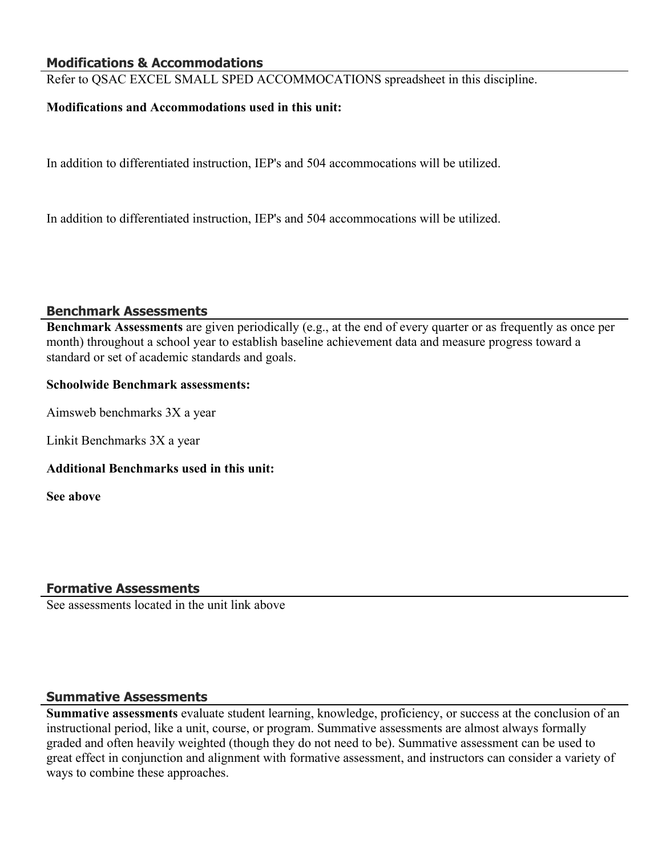#### **Modifications & Accommodations**

Refer to QSAC EXCEL SMALL SPED ACCOMMOCATIONS spreadsheet in this discipline.

#### **Modifications and Accommodations used in this unit:**

In addition to differentiated instruction, IEP's and 504 accommocations will be utilized.

In addition to differentiated instruction, IEP's and 504 accommocations will be utilized.

#### **Benchmark Assessments**

**Benchmark Assessments** are given periodically (e.g., at the end of every quarter or as frequently as once per month) throughout a school year to establish baseline achievement data and measure progress toward a standard or set of academic standards and goals.

#### **Schoolwide Benchmark assessments:**

Aimsweb benchmarks 3X a year

Linkit Benchmarks 3X a year

#### **Additional Benchmarks used in this unit:**

**See above**

#### **Formative Assessments**

See assessments located in the unit link above

#### **Summative Assessments**

**Summative assessments** evaluate student learning, knowledge, proficiency, or success at the conclusion of an instructional period, like a unit, course, or program. Summative assessments are almost always formally graded and often heavily weighted (though they do not need to be). Summative assessment can be used to great effect in conjunction and alignment with formative assessment, and instructors can consider a variety of ways to combine these approaches.